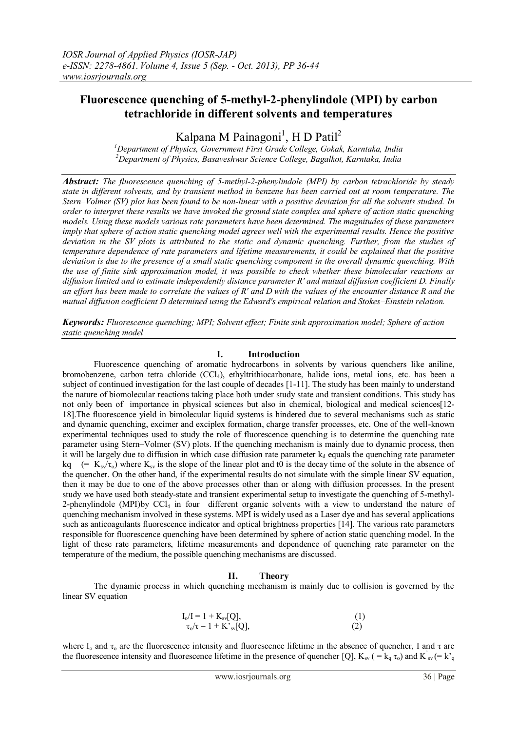# **Fluorescence quenching of 5-methyl-2-phenylindole (MPI) by carbon tetrachloride in different solvents and temperatures**

Kalpana M Painagoni<sup>1</sup>, H D Patil<sup>2</sup>

*<sup>1</sup>Department of Physics, Government First Grade College, Gokak, Karntaka, India <sup>2</sup>Department of Physics, Basaveshwar Science College, Bagalkot, Karntaka, India*

*Abstract: The fluorescence quenching of 5-methyl-2-phenylindole (MPI) by carbon tetrachloride by steady state in different solvents, and by transient method in benzene has been carried out at room temperature. The Stern–Volmer (SV) plot has been found to be non-linear with a positive deviation for all the solvents studied. In order to interpret these results we have invoked the ground state complex and sphere of action static quenching models. Using these models various rate parameters have been determined. The magnitudes of these parameters imply that sphere of action static quenching model agrees well with the experimental results. Hence the positive deviation in the SV plots is attributed to the static and dynamic quenching. Further, from the studies of temperature dependence of rate parameters and lifetime measurements, it could be explained that the positive deviation is due to the presence of a small static quenching component in the overall dynamic quenching. With the use of finite sink approximation model, it was possible to check whether these bimolecular reactions as diffusion limited and to estimate independently distance parameter R′ and mutual diffusion coefficient D. Finally an effort has been made to correlate the values of R′ and D with the values of the encounter distance R and the mutual diffusion coefficient D determined using the Edward's empirical relation and Stokes–Einstein relation.*

*Keywords: Fluorescence quenching; MPI; Solvent effect; Finite sink approximation model; Sphere of action static quenching model*

### **I. Introduction**

Fluorescence quenching of aromatic hydrocarbons in solvents by various quenchers like aniline, bromobenzene, carbon tetra chloride (CCl4), ethyltrithiocarbonate, halide ions, metal ions, etc. has been a subject of continued investigation for the last couple of decades [1-11]. The study has been mainly to understand the nature of biomolecular reactions taking place both under study state and transient conditions. This study has not only been of importance in physical sciences but also in chemical, biological and medical sciences[12-12-12-12] 18].The fluorescence yield in bimolecular liquid systems is hindered due to several mechanisms such as static and dynamic quenching, excimer and exciplex formation, charge transfer processes, etc. One of the well-known experimental techniques used to study the role of fluorescence quenching is to determine the quenching rate parameter using Stern–Volmer (SV) plots. If the quenching mechanism is mainly due to dynamic process, then it will be largely due to diffusion in which case diffusion rate parameter  $k_d$  equals the quenching rate parameter kq (=  $K_{sv}/\tau_o$ ) where  $K_{sv}$  is the slope of the linear plot and t0 is the decay time of the solute in the absence of the quencher. On the other hand, if the experimental results do not simulate with the simple linear SV equation, then it may be due to one of the above processes other than or along with diffusion processes. In the present study we have used both steady-state and transient experimental setup to investigate the quenching of 5-methyl-2-phenylindole (MPI)by  $\text{CCl}_4$  in four different organic solvents with a view to understand the nature of quenching mechanism involved in these systems. MPI is widely used as a Laser dye and has several applications such as anticoagulants fluorescence indicator and optical brightness properties [14]. The various rate parameters responsible for fluorescence quenching have been determined by sphere of action static quenching model. In the light of these rate parameters, lifetime measurements and dependence of quenching rate parameter on the temperature of the medium, the possible quenching mechanisms are discussed.

### **II. Theory**

The dynamic process in which quenching mechanism is mainly due to collision is governed by the linear SV equation

$$
I_o/I = 1 + K_{sv}[Q],
$$
  
\n
$$
\tau_o/\tau = 1 + K'_{sv}[Q],
$$
\n(1)

where I<sub>0</sub> and  $\tau_0$  are the fluorescence intensity and fluorescence lifetime in the absence of quencher, I and  $\tau$  are the fluorescence intensity and fluorescence lifetime in the presence of quencher [Q],  $K_{sv}$  (=  $k_q \tau_o$ ) and  $K_{sv}$ (=  $k_q \tau_o$ )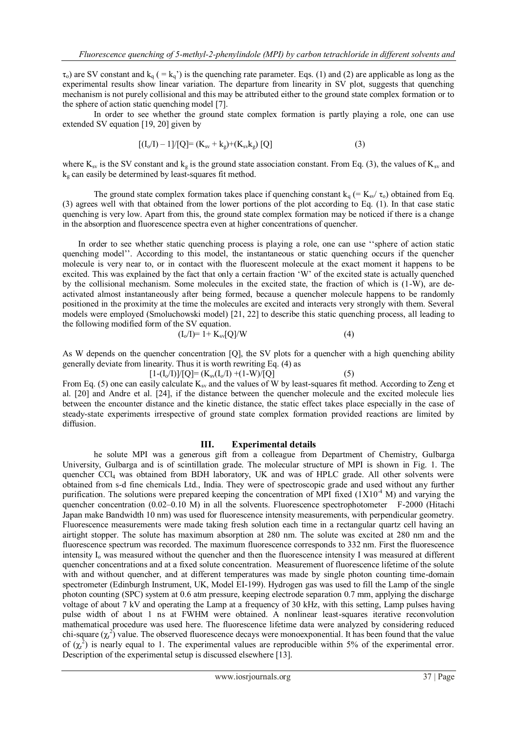$\tau_0$ ) are SV constant and  $k_q$  ( =  $k_q$ ) is the quenching rate parameter. Eqs. (1) and (2) are applicable as long as the experimental results show linear variation. The departure from linearity in SV plot, suggests that quenching mechanism is not purely collisional and this may be attributed either to the ground state complex formation or to the sphere of action static quenching model [7].

In order to see whether the ground state complex formation is partly playing a role, one can use extended SV equation [19, 20] given by

$$
[(I_0/I) - 1]/[Q] = (K_{sv} + k_g) + (K_{sv}k_g)[Q]
$$
\n(3)

where  $K_{\rm sv}$  is the SV constant and  $k_{\rm g}$  is the ground state association constant. From Eq. (3), the values of  $K_{\rm sv}$  and  $k<sub>g</sub>$  can easily be determined by least-squares fit method.

The ground state complex formation takes place if quenching constant  $k_q = K_{s\sqrt{\tau_q}}$  obtained from Eq. (3) agrees well with that obtained from the lower portions of the plot according to Eq. (1). In that case static quenching is very low. Apart from this, the ground state complex formation may be noticed if there is a change in the absorption and fluorescence spectra even at higher concentrations of quencher.

In order to see whether static quenching process is playing a role, one can use ''sphere of action static quenching model''. According to this model, the instantaneous or static quenching occurs if the quencher molecule is very near to, or in contact with the fluorescent molecule at the exact moment it happens to be excited. This was explained by the fact that only a certain fraction 'W' of the excited state is actually quenched by the collisional mechanism. Some molecules in the excited state, the fraction of which is (1-W), are deactivated almost instantaneously after being formed, because a quencher molecule happens to be randomly positioned in the proximity at the time the molecules are excited and interacts very strongly with them. Several models were employed (Smoluchowski model) [21, 22] to describe this static quenching process, all leading to the following modified form of the SV equation.

$$
(\mathrm{I}_{\mathrm{o}}/\mathrm{I})=1+\mathrm{K}_{\mathrm{sv}}[\mathrm{Q}]/\mathrm{W}\tag{4}
$$

As W depends on the quencher concentration [Q], the SV plots for a quencher with a high quenching ability generally deviate from linearity. Thus it is worth rewriting Eq. (4) as

 $[1-(I_0/I)/[Q] = (K_{sv}(I_0/I) + (1-W)/[Q]$  (5) From Eq. (5) one can easily calculate  $K_{sv}$  and the values of W by least-squares fit method. According to Zeng et al. [20] and Andre et al. [24], if the distance between the quencher molecule and the excited molecule lies between the encounter distance and the kinetic distance, the static effect takes place especially in the case of steady-state experiments irrespective of ground state complex formation provided reactions are limited by diffusion.

#### **III. Experimental details**

he solute MPI was a generous gift from a colleague from Department of Chemistry, Gulbarga University, Gulbarga and is of scintillation grade. The molecular structure of MPI is shown in Fig. 1. The quencher CCl<sup>4</sup> was obtained from BDH laboratory, UK and was of HPLC grade. All other solvents were obtained from s-d fine chemicals Ltd., India. They were of spectroscopic grade and used without any further purification. The solutions were prepared keeping the concentration of MPI fixed  $(1X10^{-4} M)$  and varying the quencher concentration (0.02–0.10 M) in all the solvents. Fluorescence spectrophotometer F-2000 (Hitachi Japan make Bandwidth 10 nm) was used for fluorescence intensity measurements, with perpendicular geometry. Fluorescence measurements were made taking fresh solution each time in a rectangular quartz cell having an airtight stopper. The solute has maximum absorption at 280 nm. The solute was excited at 280 nm and the fluorescence spectrum was recorded. The maximum fluorescence corresponds to 332 nm. First the fluorescence intensity I<sub>o</sub> was measured without the quencher and then the fluorescence intensity I was measured at different quencher concentrations and at a fixed solute concentration. Measurement of fluorescence lifetime of the solute with and without quencher, and at different temperatures was made by single photon counting time-domain spectrometer (Edinburgh Instrument, UK, Model EI-199). Hydrogen gas was used to fill the Lamp of the single photon counting (SPC) system at 0.6 atm pressure, keeping electrode separation 0.7 mm, applying the discharge voltage of about 7 kV and operating the Lamp at a frequency of 30 kHz, with this setting, Lamp pulses having pulse width of about 1 ns at FWHM were obtained. A nonlinear least-squares iterative reconvolution mathematical procedure was used here. The fluorescence lifetime data were analyzed by considering reduced chi-square  $(\chi^2)$  value. The observed fluorescence decays were monoexponential. It has been found that the value of  $(\chi^2)$  is nearly equal to 1. The experimental values are reproducible within 5% of the experimental error. Description of the experimental setup is discussed elsewhere [13].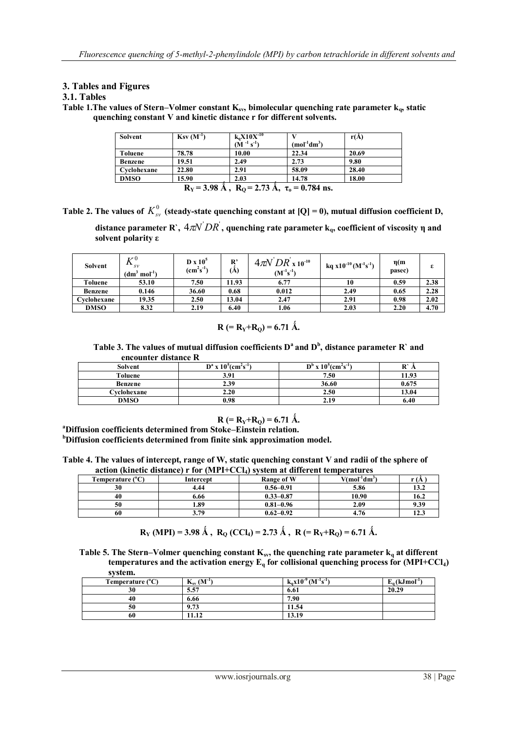# **3. Tables and Figures**

## **3.1. Tables**

**Table 1.The values of Stern–Volmer constant Ksv, bimolecular quenching rate parameter kq, static quenching constant V and kinetic distance r for different solvents.**

| Solvent                                                                         | $Ksv(M^{-1})$ | $k_q X 10 X^{-10}$<br>$(M^{-1} s^{-1})$ | $(mol-1dm3)$ | r(A)  |
|---------------------------------------------------------------------------------|---------------|-----------------------------------------|--------------|-------|
| Toluene                                                                         | 78.78         | 10.00                                   | 22.34        | 20.69 |
| <b>Benzene</b>                                                                  | 19.51         | 2.49                                    | 2.73         | 9.80  |
| Cyclohexane                                                                     | 22.80         | 2.91                                    | 58.09        | 28.40 |
| <b>DMSO</b>                                                                     | 15.90         | 2.03                                    | 14.78        | 18.00 |
| $R_Y = 3.98 \text{ Å}$ , $R_O = 2.73 \text{ Å}$ , $\tau_0 = 0.784 \text{ ns}$ . |               |                                         |              |       |

Table 2. The values of  $K^0_{sv}$  (steady-state quenching constant at [Q] = 0), mutual diffusion coefficient D,

 **distance parameter R`,**  $4\pi$ N<sup>'</sup> $DR$ <sup>'</sup>, quenching rate parameter k<sub>q</sub>, coefficient of viscosity η and  **solvent polarity ε**

| Solvent        | $\nu^0$<br>$\mathbf{r}$ $\mathbf{s}$<br>$(\text{dm}^3 \text{ mol}^{-1})$ | $D \times 10^5$<br>$(cm2s-1)$ | R'<br>(Å) | $4\pi N'DR'$ x 10 <sup>-10</sup><br>$(M^{-1}s^{-1})$ | kq x10 <sup>-10</sup> ( $M^{-1}s^{-1}$ ) | $\eta(m)$<br>pasec) | ε    |
|----------------|--------------------------------------------------------------------------|-------------------------------|-----------|------------------------------------------------------|------------------------------------------|---------------------|------|
| <b>Toluene</b> | 53.10                                                                    | 7.50                          | 11.93     | 6.77                                                 | 10                                       | 0.59                | 2.38 |
| Benzene        | 0.146                                                                    | 36.60                         | 0.68      | 0.012                                                | 2.49                                     | 0.65                | 2.28 |
| Cvclohexane    | 19.35                                                                    | 2.50                          | 13.04     | 2.47                                                 | 2.91                                     | 0.98                | 2.02 |
| <b>DMSO</b>    | 8.32                                                                     | 2.19                          | 6.40      | 1.06                                                 | 2.03                                     | 2.20                | 4.70 |

$$
R (= R_Y + R_Q) = 6.71 \text{ Å}.
$$

**Table 3. The values of mutual diffusion coefficients D<sup>a</sup>and D<sup>b</sup> , distance parameter R` and encounter distance R**

| Solvent     | $D^{a}$ x 10 <sup>5</sup> (cm <sup>2</sup> s <sup>-1</sup> ) | $D^b$ x 10 <sup>5</sup> (cm <sup>2</sup> s <sup>-1</sup> ) | D,<br>n |
|-------------|--------------------------------------------------------------|------------------------------------------------------------|---------|
| Toluene     | 3.91                                                         | 7.50                                                       | 11.93   |
| Benzene     | 2.39                                                         | 36.60                                                      | 0.675   |
| ⊡vclohexane | 2.20                                                         | 2.50                                                       | 13.04   |
| <b>DMSO</b> | 0.98                                                         | 2.19                                                       | 6.40    |

$$
R (= R_Y + R_Q) = 6.71 \text{ Å}.
$$

**<sup>a</sup>Diffusion coefficients determined from Stoke–Einstein relation.**

**<sup>b</sup>Diffusion coefficients determined from finite sink approximation model.**

**Table 4. The values of intercept, range of W, static quenching constant V and radii of the sphere of action (kinetic distance) r for (MPI+CCl4) system at different temperatures**

|                           |           | action (Kincuc uistance) 1 Tol (Bill 1) CCl4) system at uniclent temperatures |                                       |      |
|---------------------------|-----------|-------------------------------------------------------------------------------|---------------------------------------|------|
| Temperature $(^{\circ}C)$ | Intercept | Range of W                                                                    | V(mol <sup>-i</sup> dm <sup>3</sup> ) |      |
| 30                        | 4.44      | $0.56 - 0.91$                                                                 | 5.86                                  | 13.2 |
| 40                        | 6.66      | $0.33 - 0.87$                                                                 | 10.90                                 | 16.2 |
| 50                        | 1.89      | $0.81 - 0.96$                                                                 | 2.09                                  | 9.39 |
| 60                        | 3.79      | $0.62 - 0.92$                                                                 | 4.76                                  | 12.3 |

$$
R_Y
$$
 (MPI) = 3.98 Å,  $R_Q$  (CCl<sub>4</sub>) = 2.73 Å,  $R$  (=  $R_Y + R_Q$ ) = 6.71 Å.

**Table 5. The Stern–Volmer quenching constant**  $K_{sv}$ **, the quenching rate parameter**  $k_q$  **at different temperatures and the activation energy E<sup>q</sup> for collisional quenching process for (MPI+CCl4) system.**

| <u>.</u>                  |                                 |                                          |                             |
|---------------------------|---------------------------------|------------------------------------------|-----------------------------|
| Temperature $(^{\circ}C)$ | $K_{\rm sv}$ (M <sup>-1</sup> ) | $(M^{-1}s^{-1})$<br>$k_{\alpha}x10^{-9}$ | $E_a$ (kJ mol <sup>-1</sup> |
| 30                        | 5.57                            | 6.61                                     | 20.29                       |
| 40                        | 6.66                            | 7.90                                     |                             |
| 50                        | 9.73                            | 11.54                                    |                             |
| 60                        | 1.12                            | 13.19                                    |                             |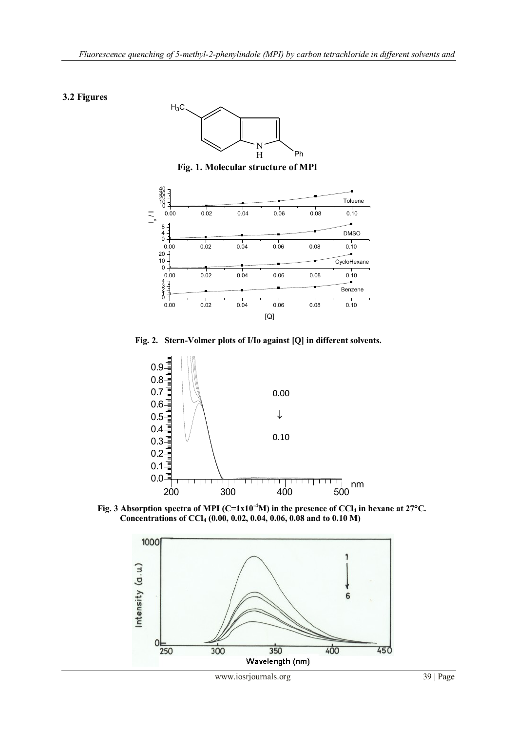## **3.2 Figures**



 **Fig. 1. Molecular structure of MPI**



**Fig. 2. Stern-Volmer plots of I/Io against [Q] in different solvents.** Abs



 **Fig. 3 Absorption spectra of MPI (C=1x10-4M) in the presence of CCl<sup>4</sup> in hexane at 27C. Concentrations of CCl<sup>4</sup> (0.00, 0.02, 0.04, 0.06, 0.08 and to 0.10 M)**

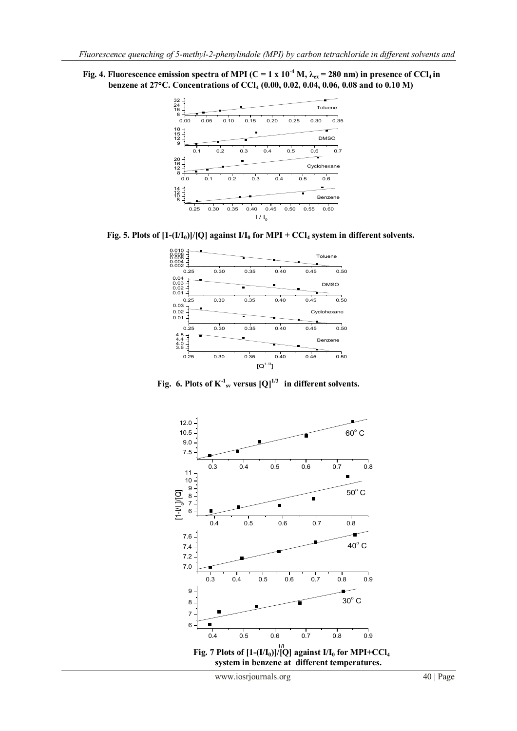**Fig. 4. Fluorescence emission spectra of MPI (C = 1 x 10<sup>-4</sup> M,**  $\lambda_{ex}$  **= 280 nm) in presence of CCl<sub>4</sub> in benzene at 27C. Concentrations of CCl<sup>4</sup> (0.00, 0.02, 0.04, 0.06, 0.08 and to 0.10 M)**



 **Fig. 5. Plots of**  $[1-(I/I_0)]/[Q]$  **against**  $I/I_0$  **for MPI + CCl<sub>4</sub> system in different solvents.** 



**Fig.** 6. Plots of  $K^{-1}$ <sub>sv</sub> versus  $[Q]^{1/3}$  in different solvents.



 **system in benzene at different temperatures.**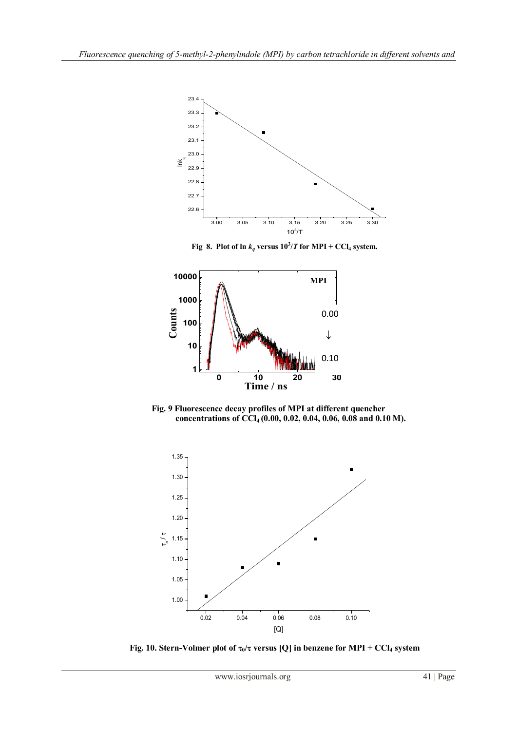

 **Fig** 8. Plot of  $\ln k_q$  versus  $10^3/T$  for MPI + CCl<sub>4</sub> system.



 **Fig. 9 Fluorescence decay profiles of MPI at different quencher concentrations of CCl4 (0.00, 0.02, 0.04, 0.06, 0.08 and 0.10 M).**



**Fig. 10. Stern-Volmer plot of 0/ versus [Q] in benzene for MPI + CCl<sup>4</sup> system**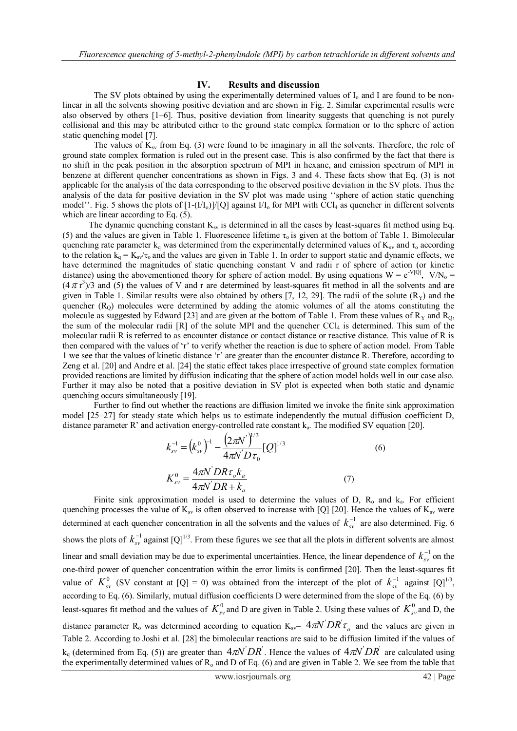### **IV. Results and discussion**

The SV plots obtained by using the experimentally determined values of  $I_0$  and I are found to be nonlinear in all the solvents showing positive deviation and are shown in Fig. 2. Similar experimental results were also observed by others [1–6]. Thus, positive deviation from linearity suggests that quenching is not purely collisional and this may be attributed either to the ground state complex formation or to the sphere of action static quenching model [7].

The values of  $K_{\rm sv}$  from Eq. (3) were found to be imaginary in all the solvents. Therefore, the role of ground state complex formation is ruled out in the present case. This is also confirmed by the fact that there is no shift in the peak position in the absorption spectrum of MPI in hexane, and emission spectrum of MPI in benzene at different quencher concentrations as shown in Figs. 3 and 4. These facts show that Eq. (3) is not applicable for the analysis of the data corresponding to the observed positive deviation in the SV plots. Thus the analysis of the data for positive deviation in the SV plot was made using ''sphere of action static quenching model''. Fig. 5 shows the plots of  $[1-(I/I_0)]/[Q]$  against  $I/I_0$  for MPI with CCl<sub>4</sub> as quencher in different solvents which are linear according to Eq. (5).

The dynamic quenching constant  $K_{sv}$  is determined in all the cases by least-squares fit method using Eq. (5) and the values are given in Table 1. Fluorescence lifetime  $\tau_0$  is given at the bottom of Table 1. Bimolecular quenching rate parameter  $k_q$  was determined from the experimentally determined values of  $K_{sv}$  and  $\tau_o$  according to the relation  $k_q = K_{sv}/\tau_0$  and the values are given in Table 1. In order to support static and dynamic effects, we have determined the magnitudes of static quenching constant V and radii r of sphere of action (or kinetic distance) using the abovementioned theory for sphere of action model. By using equations  $W = e^{-V[Q]}$ ,  $V/N_0 =$  $(4\pi r^3)/3$  and (5) the values of V and r are determined by least-squares fit method in all the solvents and are given in Table 1. Similar results were also obtained by others [7, 12, 29]. The radii of the solute  $(R<sub>Y</sub>)$  and the quencher  $(R<sub>O</sub>)$  molecules were determined by adding the atomic volumes of all the atoms constituting the molecule as suggested by Edward [23] and are given at the bottom of Table 1. From these values of  $R<sub>Y</sub>$  and  $R<sub>Q</sub>$ , the sum of the molecular radii  $[R]$  of the solute MPI and the quencher  $CCl<sub>4</sub>$  is determined. This sum of the molecular radii R is referred to as encounter distance or contact distance or reactive distance. This value of R is then compared with the values of 'r' to verify whether the reaction is due to sphere of action model. From Table 1 we see that the values of kinetic distance 'r' are greater than the encounter distance R. Therefore, according to Zeng et al. [20] and Andre et al. [24] the static effect takes place irrespective of ground state complex formation provided reactions are limited by diffusion indicating that the sphere of action model holds well in our case also. Further it may also be noted that a positive deviation in SV plot is expected when both static and dynamic quenching occurs simultaneously [19].

Further to find out whether the reactions are diffusion limited we invoke the finite sink approximation model [25–27] for steady state which helps us to estimate independently the mutual diffusion coefficient D, distance parameter R' and activation energy-controlled rate constant  $k_a$ . The modified SV equation [20].

$$
k_{sv}^{-1} = (k_{sv}^0)^{-1} - \frac{(2\pi N')^{1/3}}{4\pi N' D \tau_0} [Q]^{1/3}
$$
  
\n
$$
K_{sv}^0 = \frac{4\pi N' D R \tau_o k_a}{4\pi N' D R + k_a}
$$
 (7)

Finite sink approximation model is used to determine the values of  $D$ ,  $R_0$  and  $k_a$ . For efficient quenching processes the value of  $K_{\rm sv}$  is often observed to increase with [Q] [20]. Hence the values of  $K_{\rm sv}$  were determined at each quencher concentration in all the solvents and the values of  $k_{sv}^{-1}$  are also determined. Fig. 6 shows the plots of  $k_{sy}^{-1}$  against  $[Q]^{1/3}$ . From these figures we see that all the plots in different solvents are almost linear and small deviation may be due to experimental uncertainties. Hence, the linear dependence of  $k_{sv}^{-1}$  on the one-third power of quencher concentration within the error limits is confirmed [20]. Then the least-squares fit value of  $K_{sv}^0$  (SV constant at [Q] = 0) was obtained from the intercept of the plot of  $k_{sv}^{-1}$  against [Q]<sup>1/3</sup>, according to Eq. (6). Similarly, mutual diffusion coefficients D were determined from the slope of the Eq. (6) by least-squares fit method and the values of  $K_{sv}^0$  and D are given in Table 2. Using these values of  $K_{sv}^0$  and D, the

distance parameter R<sub>o</sub> was determined according to equation  $K_{sv}=4\pi N^{\prime}DR^{\prime}\tau_o$  and the values are given in Table 2. According to Joshi et al. [28] the bimolecular reactions are said to be diffusion limited if the values of  $k_q$  (determined from Eq. (5)) are greater than  $4\pi N'DR'$ . Hence the values of  $4\pi N'DR'$  are calculated using the experimentally determined values of  $R_0$  and D of Eq. (6) and are given in Table 2. We see from the table that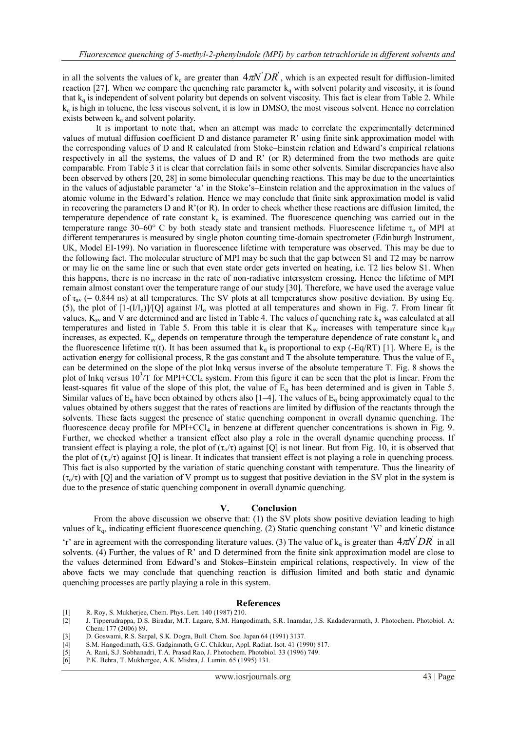in all the solvents the values of  $k_q$  are greater than  $4\pi N'DR'$ , which is an expected result for diffusion-limited reaction [27]. When we compare the quenching rate parameter  $k_q$  with solvent polarity and viscosity, it is found that  $k_q$  is independent of solvent polarity but depends on solvent viscosity. This fact is clear from Table 2. While  $k_q$  is high in toluene, the less viscous solvent, it is low in DMSO, the most viscous solvent. Hence no correlation exists between  $k_q$  and solvent polarity.

It is important to note that, when an attempt was made to correlate the experimentally determined values of mutual diffusion coefficient D and distance parameter R' using finite sink approximation model with the corresponding values of D and R calculated from Stoke–Einstein relation and Edward's empirical relations respectively in all the systems, the values of D and R' (or R) determined from the two methods are quite comparable. From Table 3 it is clear that correlation fails in some other solvents. Similar discrepancies have also been observed by others [20, 28] in some bimolecular quenching reactions. This may be due to the uncertainties in the values of adjustable parameter 'a' in the Stoke's–Einstein relation and the approximation in the values of atomic volume in the Edward's relation. Hence we may conclude that finite sink approximation model is valid in recovering the parameters D and  $R'$  (or R). In order to check whether these reactions are diffusion limited, the temperature dependence of rate constant  $k_q$  is examined. The fluorescence quenching was carried out in the temperature range 30–60° C by both steady state and transient methods. Fluorescence lifetime τ<sub>o</sub> of MPI at different temperatures is measured by single photon counting time-domain spectrometer (Edinburgh Instrument, UK, Model EI-199). No variation in fluorescence lifetime with temperature was observed. This may be due to the following fact. The molecular structure of MPI may be such that the gap between S1 and T2 may be narrow or may lie on the same line or such that even state order gets inverted on heating, i.e. T2 lies below S1. When this happens, there is no increase in the rate of non-radiative intersystem crossing. Hence the lifetime of MPI remain almost constant over the temperature range of our study [30]. Therefore, we have used the average value of  $\tau_{av}$  (= 0.844 ns) at all temperatures. The SV plots at all temperatures show positive deviation. By using Eq. (5), the plot of  $[1-(I/I_0)/[Q]$  against  $I/I_0$  was plotted at all temperatures and shown in Fig. 7. From linear fit values,  $K_{\rm sv}$  and V are determined and are listed in Table 4. The values of quenching rate  $k_q$  was calculated at all temperatures and listed in Table 5. From this table it is clear that  $K_{\rm sv}$  increases with temperature since  $k_{\rm diff}$ increases, as expected.  $K_{sv}$  depends on temperature through the temperature dependence of rate constant  $k_q$  and the fluorescence lifetime  $\tau(t)$ . It has been assumed that  $k_q$  is proportional to exp (-Eq/RT) [1]. Where E<sub>q</sub> is the activation energy for collisional process, R the gas constant and T the absolute temperature. Thus the value of  $E_q$ can be determined on the slope of the plot lnkq versus inverse of the absolute temperature T. Fig. 8 shows the plot of lnkq versus  $10^3$ T for MPI+CCl<sub>4</sub> system. From this figure it can be seen that the plot is linear. From the least-squares fit value of the slope of this plot, the value of  $E_q$  has been determined and is given in Table 5. Similar values of  $E_q$  have been obtained by others also [1–4]. The values of  $E_q$  being approximately equal to the values obtained by others suggest that the rates of reactions are limited by diffusion of the reactants through the solvents. These facts suggest the presence of static quenching component in overall dynamic quenching. The fluorescence decay profile for  $MPI+CCl<sub>4</sub>$  in benzene at different quencher concentrations is shown in Fig. 9. Further, we checked whether a transient effect also play a role in the overall dynamic quenching process. If transient effect is playing a role, the plot of  $(\tau_{0}/\tau)$  against [Q] is not linear. But from Fig. 10, it is observed that the plot of  $(\tau_{o}/\tau)$  against [Q] is linear. It indicates that transient effect is not playing a role in quenching process. This fact is also supported by the variation of static quenching constant with temperature. Thus the linearity of  $(\tau_0/\tau)$  with [Q] and the variation of V prompt us to suggest that positive deviation in the SV plot in the system is due to the presence of static quenching component in overall dynamic quenching.

#### **V. Conclusion**

From the above discussion we observe that: (1) the SV plots show positive deviation leading to high values of  $k_q$ , indicating efficient fluorescence quenching. (2) Static quenching constant 'V' and kinetic distance 'r' are in agreement with the corresponding literature values. (3) The value of  $k_q$  is greater than  $4\pi N'DR'$  in all solvents. (4) Further, the values of R' and D determined from the finite sink approximation model are close to the values determined from Edward's and Stokes–Einstein empirical relations, respectively. In view of the above facts we may conclude that quenching reaction is diffusion limited and both static and dynamic quenching processes are partly playing a role in this system.

#### **References**

- [1] R. Roy, S. Mukheriee, Chem. Phys. Lett. 140 (1987) 210.
- [2] J. Tipperudrappa, D.S. Biradar, M.T. Lagare, S.M. Hangodimath, S.R. Inamdar, J.S. Kadadevarmath, J. Photochem. Photobiol. A: Chem. 177 (2006) 89.
- [3] D. Goswami, R.S. Sarpal, S.K. Dogra, Bull. Chem. Soc. Japan 64 (1991) 3137.
- [4] S.M. Hangodimath, G.S. Gadginmath, G.C. Chikkur, Appl. Radiat. Isot. 41 (1990) 817.
- [5] A. Rani, S.J. Sobhanadri, T.A. Prasad Rao, J. Photochem. Photobiol. 33 (1996) 749.
- [6] P.K. Behra, T. Mukhergee, A.K. Mishra, J. Lumin. 65 (1995) 131.